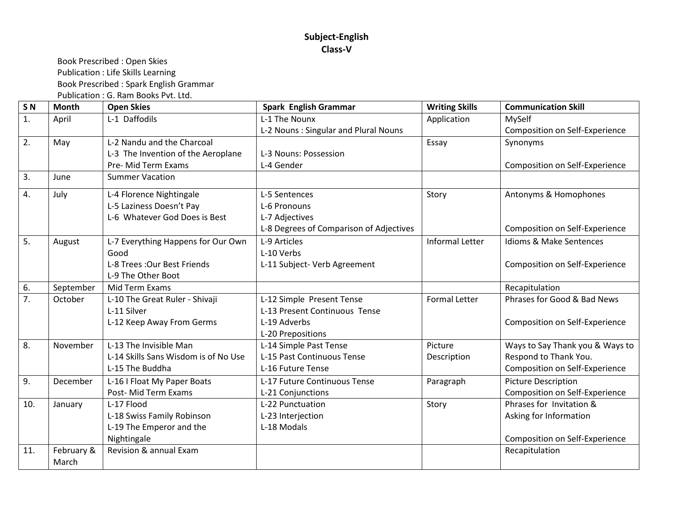#### **Subject-English Class-V**

Book Prescribed : Open Skies Publication : Life Skills Learning Book Prescribed : Spark English Grammar Publication : G. Ram Books Pvt. Ltd.

**S N Month Open Skies Spark English Grammar Writing Skills Communication Skill** 1. April L-1 Daffodils L-1 The Nounx L-2 Nouns : Singular and Plural Nouns Application MySelf Composition on Self-Experience 2.  $\vert$  May  $\vert$  L-2 Nandu and the Charcoal L-3 The Invention of the Aeroplane Pre- Mid Term Exams L-3 Nouns: Possession L-4 Gender Essay | Synonyms Composition on Self-Experience 3. June Summer Vacation 4. July L-4 Florence Nightingale L-5 Laziness Doesn't Pay L-6 Whatever God Does is Best L-5 Sentences L-6 Pronouns L-7 Adjectives L-8 Degrees of Comparison of Adjectives Story **Antonyms & Homophones** Composition on Self-Experience 5. August L-7 Everything Happens for Our Own Good L-8 Trees :Our Best Friends L-9 The Other Boot L-9 Articles L-10 Verbs L-11 Subject- Verb Agreement Informal Letter  $\Box$  Idioms & Make Sentences Composition on Self-Experience 6. September | Mid Term Exams Recapitulation Recapitulation Recapitulation 7. October | L-10 The Great Ruler - Shivaji L-11 Silver L-12 Keep Away From Germs L-12 Simple Present Tense L-13 Present Continuous Tense L-19 Adverbs L-20 Prepositions Formal Letter  $\blacksquare$  Phrases for Good & Bad News Composition on Self-Experience 8. November LL-13 The Invisible Man L-14 Skills Sans Wisdom is of No Use L-15 The Buddha L-14 Simple Past Tense L-15 Past Continuous Tense L-16 Future Tense Picture Description Ways to Say Thank you & Ways to Respond to Thank You. Composition on Self-Experience 9. December L-16 I Float My Paper Boats Post- Mid Term Exams L-17 Future Continuous Tense L-21 Conjunctions Paragraph | Picture Description Composition on Self-Experience 10. January L-17 Flood L-18 Swiss Family Robinson L-19 The Emperor and the Nightingale L-22 Punctuation L-23 Interjection L-18 Modals Story Phrases for Invitation & Asking for Information Composition on Self-Experience 11. February & March Revision & annual Exam Recapitulation and Recapitulation and Recapitulation and Recapitulation and Recapitulation

i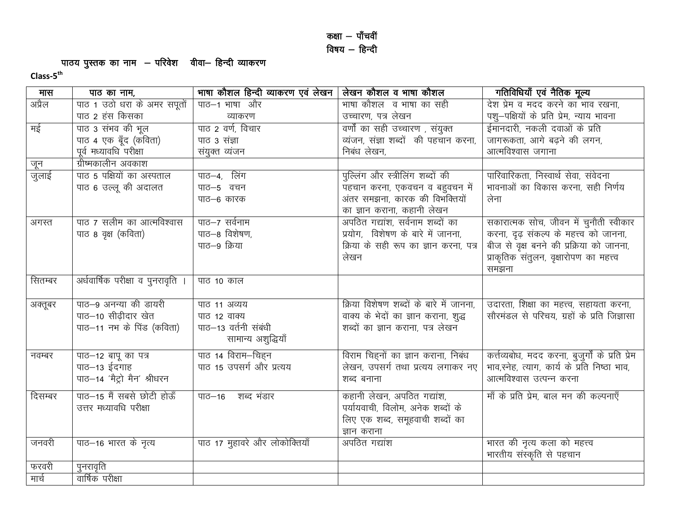# पाठय पुस्तक का नाम — परिवेश वीवा— हिन्दी व्याकरण<br>Class-5<sup>th</sup>

| मास     | पाठ का नाम,                       | भाषा कौशल हिन्दी व्याकरण एवं लेखन | लेखन कौशल व भाषा कौशल                   | गतिविधियाँ एवं नैतिक मूल्य                       |
|---------|-----------------------------------|-----------------------------------|-----------------------------------------|--------------------------------------------------|
| अप्रैल  | पाठ 1 उठो धरा के अमर सपूतों       | पाठ-1 भाषा और                     | माषा कौशल) व भाषा का सही                | देश प्रेम व मदद करने का भाव रखना,                |
|         | पाठ 2 हंस किसका                   | व्याकरण                           | उच्चारण, पत्र लेखन                      | पशु–पक्षियों के प्रति प्रेम, न्याय भावना         |
| मई      | पाठ 3 संभव की भूल                 | पाठ 2 वर्ण, विचार                 | वर्णों का सही उच्चारण , संयुक्त         | ईमानदारी, नकली दवाओं के प्रति                    |
|         | पाठ 4 एक बूँद (कविता)             | पाठ 3 संज्ञा                      | व्यंजन, संज्ञा शब्दों की पहचान करना,    | जागरूकता, आगे बढ़ने की लगन,                      |
|         | पूर्व मध्यावधि परीक्षा            | संयुक्त व्यंजन                    | निबंध लेखन,                             | आत्मविश्वास जगाना                                |
| जून     | ग्रीष्मकालीन अवकाश                |                                   |                                         |                                                  |
| जुलाई   | पाठ 5 पक्षियों का अस्पताल         | पाठ–4, लिंग                       | पुल्लिंग और स्त्रीलिंग शब्दों की        | पारिवारिकता, निस्वार्थ सेवा, संवेदना             |
|         | पाठ 6 उल्लू की अदालत              | पाठ-5 वचन                         | पहचान करना, एकवचन व बहुवचन में          | भावनाओं का विकास करना, सही निर्णय                |
|         |                                   | पाठ–6 कारक                        | अंतर समझना, कारक की विभक्तियों          | लेना                                             |
|         |                                   |                                   | का ज्ञान कराना, कहानी लेखन              |                                                  |
| अगस्त   | पाठ ७ सलीम का आत्मविश्वास         | पाठ-7 सर्वनाम                     | अपठित गद्यांश, सर्वनाम शब्दों का        | सकारात्मक सोच, जीवन में चुनौती स्वीकार           |
|         | पाठ 8 वृक्ष (कविता)               | पाठ-8 विशेषण,                     | प्रयोग, विशेषण के बारे में जानना,       | करना, दृढ़ संकल्प के महत्त्व को जानना,           |
|         |                                   | पाठ-9 क्रिया                      | क्रिया के सही रूप का ज्ञान करना, पत्र   | बीज से वृक्ष बनने की प्रक्रिया को जानना,         |
|         |                                   |                                   | लेखन                                    | प्राकृतिक संतुलन, वृक्षारोपण का महत्त्व          |
|         |                                   |                                   |                                         | समझना                                            |
| सितम्बर | अर्धवार्षिक परीक्षा व पुनरावृति । | पाठ 10 काल                        |                                         |                                                  |
|         |                                   |                                   |                                         |                                                  |
| अक्तूबर | पाठ-9 अनन्या की डायरी             | पाठ 11 अव्यय                      | क्रिया विशेषण शब्दों के बारे में जानना, | उदारता, शिक्षा का महत्त्व, सहायता करना,          |
|         | पाठ-10 सीढीदार खेत                | पाठ 12 वाक्य                      | वाक्य के भेदों का ज्ञान कराना, शुद्ध    | सौरमंडल से परिचय, ग्रहों के प्रति जिज्ञासा       |
|         | पाठ-11 नभ के पिंड (कविता)         | पाठ-13 वर्तनी संबंधी              | शब्दों का ज्ञान कराना, पत्र लेखन        |                                                  |
|         |                                   | सामान्य अशुद्धियाँ                |                                         |                                                  |
| नवम्बर  | पाठ-12 बापू का पत्र               | पाठ 14 विराम–चिहन                 | विराम चिह्नों का ज्ञान कराना, निबंध     | कर्त्तव्यबोध, मदद करना, बुजुर्गों के प्रति प्रेम |
|         | पाठ–13 ईदगाह                      | पाठ 15 उपसर्ग और प्रत्यय          | लेखन, उपसर्ग तथा प्रत्यय लगाकर नए       | भाव,स्नेह, त्याग, कार्य के प्रति निष्ठा भाव,     |
|         | पाठ-14 'मैट्रो मैन' श्रीधरन       |                                   | शब्द बनाना                              | आत्मविश्वास उत्पन्न करना                         |
| दिसम्बर | पाठ-15 मैं सबसे छोटी होऊँ         | पाठ–16 शब्द भंडार                 | कहानी लेखन, अपठित गद्यांश,              | माँ के प्रति प्रेम, बाल मन की कल्पनाएँ           |
|         | उत्तर मध्यावधि परीक्षा            |                                   | पर्यायवाची, विलोम, अनेक शब्दों के       |                                                  |
|         |                                   |                                   | लिए एक शब्द, समूहवाची शब्दों का         |                                                  |
|         |                                   |                                   | ज्ञान कराना                             |                                                  |
| जनवरी   | पाठ–16 भारत के नृत्य              | पाठ 17 मुहावरे और लोकोक्तियाँ     | अपठित गद्यांश                           | भारत की नृत्य कला को महत्त्व                     |
|         |                                   |                                   |                                         | भारतीय संस्कृति से पहचान                         |
| फरवरी   | पुनरावृति                         |                                   |                                         |                                                  |
| मार्च   | वार्षिक परीक्षा                   |                                   |                                         |                                                  |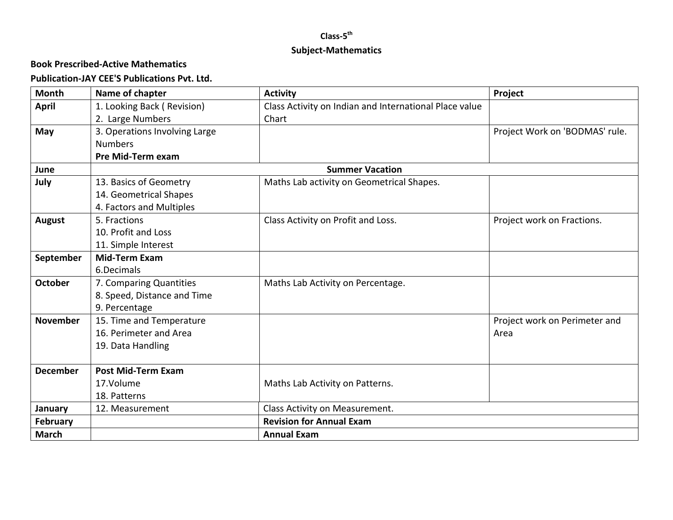## **Class-5 th Subject-Mathematics**

### **Book Prescribed-Active Mathematics**

### **Publication-JAY CEE'S Publications Pvt. Ltd.**

| <b>Month</b>    | Name of chapter               | <b>Activity</b>                                        | Project                        |  |
|-----------------|-------------------------------|--------------------------------------------------------|--------------------------------|--|
| <b>April</b>    | 1. Looking Back (Revision)    | Class Activity on Indian and International Place value |                                |  |
|                 | 2. Large Numbers              | Chart                                                  |                                |  |
| May             | 3. Operations Involving Large |                                                        | Project Work on 'BODMAS' rule. |  |
|                 | <b>Numbers</b>                |                                                        |                                |  |
|                 | <b>Pre Mid-Term exam</b>      |                                                        |                                |  |
| June            |                               | <b>Summer Vacation</b>                                 |                                |  |
| July            | 13. Basics of Geometry        | Maths Lab activity on Geometrical Shapes.              |                                |  |
|                 | 14. Geometrical Shapes        |                                                        |                                |  |
|                 | 4. Factors and Multiples      |                                                        |                                |  |
| <b>August</b>   | 5. Fractions                  | Class Activity on Profit and Loss.                     | Project work on Fractions.     |  |
|                 | 10. Profit and Loss           |                                                        |                                |  |
|                 | 11. Simple Interest           |                                                        |                                |  |
| September       | <b>Mid-Term Exam</b>          |                                                        |                                |  |
|                 | 6.Decimals                    |                                                        |                                |  |
| <b>October</b>  | 7. Comparing Quantities       | Maths Lab Activity on Percentage.                      |                                |  |
|                 | 8. Speed, Distance and Time   |                                                        |                                |  |
|                 | 9. Percentage                 |                                                        |                                |  |
| <b>November</b> | 15. Time and Temperature      |                                                        | Project work on Perimeter and  |  |
|                 | 16. Perimeter and Area        |                                                        | Area                           |  |
|                 | 19. Data Handling             |                                                        |                                |  |
|                 |                               |                                                        |                                |  |
| <b>December</b> | <b>Post Mid-Term Exam</b>     |                                                        |                                |  |
|                 | 17.Volume                     | Maths Lab Activity on Patterns.                        |                                |  |
|                 | 18. Patterns                  |                                                        |                                |  |
| January         | 12. Measurement               | Class Activity on Measurement.                         |                                |  |
| <b>February</b> |                               | <b>Revision for Annual Exam</b>                        |                                |  |
| <b>March</b>    |                               | <b>Annual Exam</b>                                     |                                |  |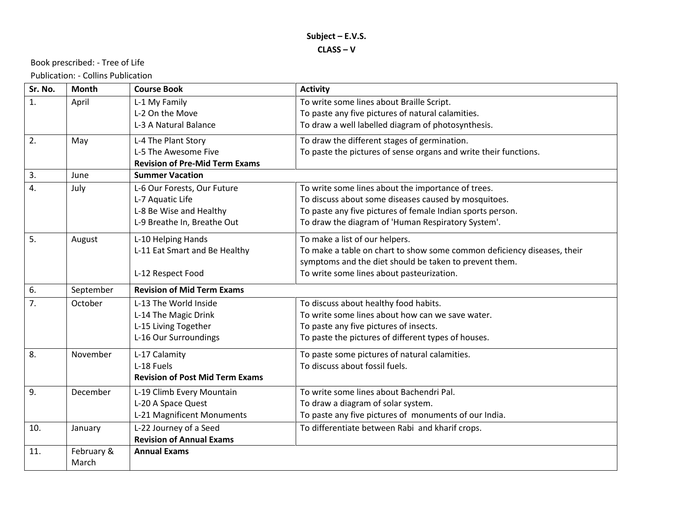#### Book prescribed: - Tree of Life

Publication: - Collins Publication

| Sr. No. | <b>Month</b> | <b>Course Book</b>                     | <b>Activity</b>                                                         |  |
|---------|--------------|----------------------------------------|-------------------------------------------------------------------------|--|
| 1.      | April        | L-1 My Family                          | To write some lines about Braille Script.                               |  |
|         |              | L-2 On the Move                        | To paste any five pictures of natural calamities.                       |  |
|         |              | L-3 A Natural Balance                  | To draw a well labelled diagram of photosynthesis.                      |  |
| 2.      | May          | L-4 The Plant Story                    | To draw the different stages of germination.                            |  |
|         |              | L-5 The Awesome Five                   | To paste the pictures of sense organs and write their functions.        |  |
|         |              | <b>Revision of Pre-Mid Term Exams</b>  |                                                                         |  |
| 3.      | June         | <b>Summer Vacation</b>                 |                                                                         |  |
| 4.      | July         | L-6 Our Forests, Our Future            | To write some lines about the importance of trees.                      |  |
|         |              | L-7 Aquatic Life                       | To discuss about some diseases caused by mosquitoes.                    |  |
|         |              | L-8 Be Wise and Healthy                | To paste any five pictures of female Indian sports person.              |  |
|         |              | L-9 Breathe In, Breathe Out            | To draw the diagram of 'Human Respiratory System'.                      |  |
| 5.      | August       | L-10 Helping Hands                     | To make a list of our helpers.                                          |  |
|         |              | L-11 Eat Smart and Be Healthy          | To make a table on chart to show some common deficiency diseases, their |  |
|         |              |                                        | symptoms and the diet should be taken to prevent them.                  |  |
|         |              | L-12 Respect Food                      | To write some lines about pasteurization.                               |  |
| 6.      | September    | <b>Revision of Mid Term Exams</b>      |                                                                         |  |
| 7.      | October      | L-13 The World Inside                  | To discuss about healthy food habits.                                   |  |
|         |              | L-14 The Magic Drink                   | To write some lines about how can we save water.                        |  |
|         |              | L-15 Living Together                   | To paste any five pictures of insects.                                  |  |
|         |              | L-16 Our Surroundings                  | To paste the pictures of different types of houses.                     |  |
| 8.      | November     | L-17 Calamity                          | To paste some pictures of natural calamities.                           |  |
|         |              | L-18 Fuels                             | To discuss about fossil fuels.                                          |  |
|         |              | <b>Revision of Post Mid Term Exams</b> |                                                                         |  |
| 9.      | December     | L-19 Climb Every Mountain              | To write some lines about Bachendri Pal.                                |  |
|         |              | L-20 A Space Quest                     | To draw a diagram of solar system.                                      |  |
|         |              | L-21 Magnificent Monuments             | To paste any five pictures of monuments of our India.                   |  |
| 10.     | January      | L-22 Journey of a Seed                 | To differentiate between Rabi and kharif crops.                         |  |
|         |              | <b>Revision of Annual Exams</b>        |                                                                         |  |
| 11.     | February &   | <b>Annual Exams</b>                    |                                                                         |  |
|         | March        |                                        |                                                                         |  |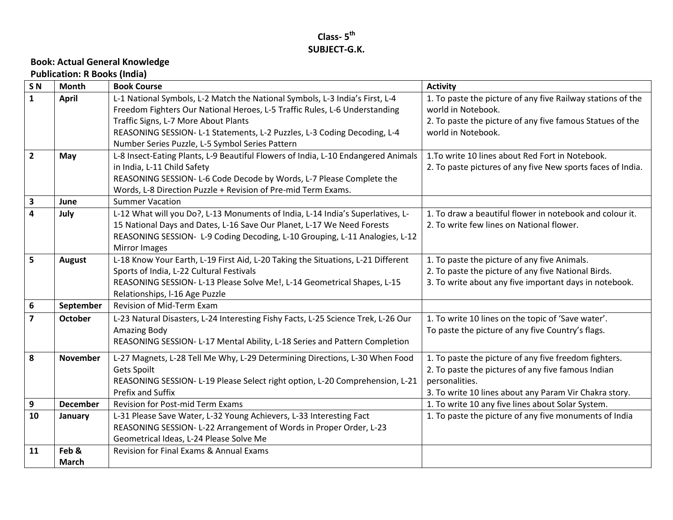### **Class- 5 th SUBJECT-G.K.**

## **Book: Actual General Knowledge**

**Publication: R Books (India)**

| S <sub>N</sub> | <b>Month</b>    | <b>Book Course</b>                                                                                        | <b>Activity</b>                                                                   |  |
|----------------|-----------------|-----------------------------------------------------------------------------------------------------------|-----------------------------------------------------------------------------------|--|
| $\mathbf{1}$   | <b>April</b>    | L-1 National Symbols, L-2 Match the National Symbols, L-3 India's First, L-4                              | 1. To paste the picture of any five Railway stations of the<br>world in Notebook. |  |
|                |                 | Freedom Fighters Our National Heroes, L-5 Traffic Rules, L-6 Understanding                                |                                                                                   |  |
|                |                 | Traffic Signs, L-7 More About Plants                                                                      | 2. To paste the picture of any five famous Statues of the                         |  |
|                |                 | REASONING SESSION- L-1 Statements, L-2 Puzzles, L-3 Coding Decoding, L-4                                  | world in Notebook.                                                                |  |
|                |                 | Number Series Puzzle, L-5 Symbol Series Pattern                                                           |                                                                                   |  |
| $\overline{2}$ | May             | L-8 Insect-Eating Plants, L-9 Beautiful Flowers of India, L-10 Endangered Animals                         | 1. To write 10 lines about Red Fort in Notebook.                                  |  |
|                |                 | in India, L-11 Child Safety                                                                               | 2. To paste pictures of any five New sports faces of India.                       |  |
|                |                 | REASONING SESSION- L-6 Code Decode by Words, L-7 Please Complete the                                      |                                                                                   |  |
|                |                 | Words, L-8 Direction Puzzle + Revision of Pre-mid Term Exams.                                             |                                                                                   |  |
| 3              | June            | <b>Summer Vacation</b>                                                                                    |                                                                                   |  |
| 4              | July            | L-12 What will you Do?, L-13 Monuments of India, L-14 India's Superlatives, L-                            | 1. To draw a beautiful flower in notebook and colour it.                          |  |
|                |                 | 15 National Days and Dates, L-16 Save Our Planet, L-17 We Need Forests                                    | 2. To write few lines on National flower.                                         |  |
|                |                 | REASONING SESSION- L-9 Coding Decoding, L-10 Grouping, L-11 Analogies, L-12                               |                                                                                   |  |
|                |                 | Mirror Images                                                                                             |                                                                                   |  |
| 5              | <b>August</b>   | L-18 Know Your Earth, L-19 First Aid, L-20 Taking the Situations, L-21 Different                          | 1. To paste the picture of any five Animals.                                      |  |
|                |                 | Sports of India, L-22 Cultural Festivals                                                                  | 2. To paste the picture of any five National Birds.                               |  |
|                |                 | REASONING SESSION- L-13 Please Solve Me!, L-14 Geometrical Shapes, L-15<br>Relationships, I-16 Age Puzzle | 3. To write about any five important days in notebook.                            |  |
| 6              | September       | <b>Revision of Mid-Term Exam</b>                                                                          |                                                                                   |  |
|                |                 |                                                                                                           |                                                                                   |  |
| 7              | <b>October</b>  | L-23 Natural Disasters, L-24 Interesting Fishy Facts, L-25 Science Trek, L-26 Our                         | 1. To write 10 lines on the topic of 'Save water'.                                |  |
|                |                 | <b>Amazing Body</b>                                                                                       | To paste the picture of any five Country's flags.                                 |  |
|                |                 | REASONING SESSION- L-17 Mental Ability, L-18 Series and Pattern Completion                                |                                                                                   |  |
| 8              | <b>November</b> | L-27 Magnets, L-28 Tell Me Why, L-29 Determining Directions, L-30 When Food                               | 1. To paste the picture of any five freedom fighters.                             |  |
|                |                 | Gets Spoilt                                                                                               | 2. To paste the pictures of any five famous Indian                                |  |
|                |                 | REASONING SESSION- L-19 Please Select right option, L-20 Comprehension, L-21                              | personalities.                                                                    |  |
|                |                 | Prefix and Suffix                                                                                         | 3. To write 10 lines about any Param Vir Chakra story.                            |  |
| 9              | <b>December</b> | <b>Revision for Post-mid Term Exams</b>                                                                   | 1. To write 10 any five lines about Solar System.                                 |  |
| 10             | January         | L-31 Please Save Water, L-32 Young Achievers, L-33 Interesting Fact                                       | 1. To paste the picture of any five monuments of India                            |  |
|                |                 | REASONING SESSION- L-22 Arrangement of Words in Proper Order, L-23                                        |                                                                                   |  |
|                |                 | Geometrical Ideas, L-24 Please Solve Me                                                                   |                                                                                   |  |
| 11             | Feb &           | Revision for Final Exams & Annual Exams                                                                   |                                                                                   |  |
|                | <b>March</b>    |                                                                                                           |                                                                                   |  |